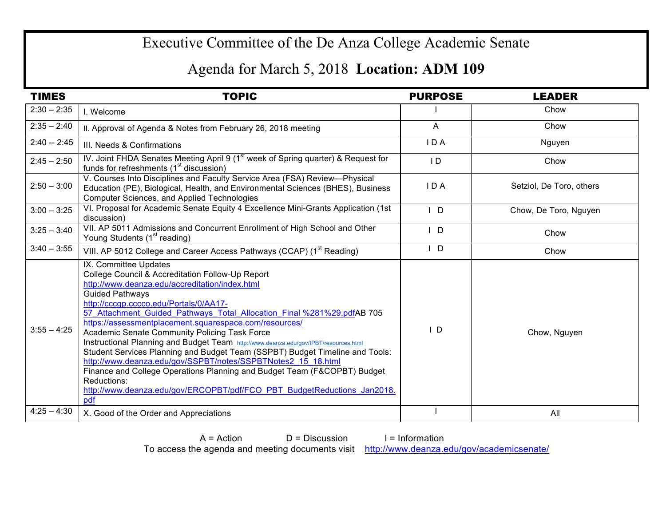## Executive Committee of the De Anza College Academic Senate

## Agenda for March 5, 2018 **Location: ADM 109**

| <b>TIMES</b>  | <b>TOPIC</b>                                                                                                                                                                                                                                                                                                                                                                                                                                                                                                                                                                                                                                                                                                                                                                                              | <b>PURPOSE</b> | <b>LEADER</b>            |
|---------------|-----------------------------------------------------------------------------------------------------------------------------------------------------------------------------------------------------------------------------------------------------------------------------------------------------------------------------------------------------------------------------------------------------------------------------------------------------------------------------------------------------------------------------------------------------------------------------------------------------------------------------------------------------------------------------------------------------------------------------------------------------------------------------------------------------------|----------------|--------------------------|
| $2:30 - 2:35$ | I. Welcome                                                                                                                                                                                                                                                                                                                                                                                                                                                                                                                                                                                                                                                                                                                                                                                                |                | Chow                     |
| $2:35 - 2:40$ | II. Approval of Agenda & Notes from February 26, 2018 meeting                                                                                                                                                                                                                                                                                                                                                                                                                                                                                                                                                                                                                                                                                                                                             | $\mathsf{A}$   | Chow                     |
| $2:40 - 2:45$ | III. Needs & Confirmations                                                                                                                                                                                                                                                                                                                                                                                                                                                                                                                                                                                                                                                                                                                                                                                | IDA            | Nguyen                   |
| $2:45 - 2:50$ | IV. Joint FHDA Senates Meeting April 9 (1 <sup>st</sup> week of Spring quarter) & Request for<br>funds for refreshments (1 <sup>st</sup> discussion)                                                                                                                                                                                                                                                                                                                                                                                                                                                                                                                                                                                                                                                      | ID             | Chow                     |
| $2:50 - 3:00$ | V. Courses Into Disciplines and Faculty Service Area (FSA) Review-Physical<br>Education (PE), Biological, Health, and Environmental Sciences (BHES), Business<br>Computer Sciences, and Applied Technologies                                                                                                                                                                                                                                                                                                                                                                                                                                                                                                                                                                                              | IDA            | Setziol, De Toro, others |
| $3:00 - 3:25$ | VI. Proposal for Academic Senate Equity 4 Excellence Mini-Grants Application (1st<br>discussion)                                                                                                                                                                                                                                                                                                                                                                                                                                                                                                                                                                                                                                                                                                          | $\mathsf{I}$ D | Chow, De Toro, Nguyen    |
| $3:25 - 3:40$ | VII. AP 5011 Admissions and Concurrent Enrollment of High School and Other<br>Young Students (1 <sup>st</sup> reading)                                                                                                                                                                                                                                                                                                                                                                                                                                                                                                                                                                                                                                                                                    | $I$ D          | Chow                     |
| $3:40 - 3:55$ | VIII. AP 5012 College and Career Access Pathways (CCAP) (1 <sup>st</sup> Reading)                                                                                                                                                                                                                                                                                                                                                                                                                                                                                                                                                                                                                                                                                                                         | D              | Chow                     |
| $3:55 - 4:25$ | IX. Committee Updates<br>College Council & Accreditation Follow-Up Report<br>http://www.deanza.edu/accreditation/index.html<br><b>Guided Pathways</b><br>http://cccgp.cccco.edu/Portals/0/AA17-<br>57 Attachment Guided Pathways Total Allocation Final %281%29.pdfAB 705<br>https://assessmentplacement.squarespace.com/resources/<br>Academic Senate Community Policing Task Force<br>Instructional Planning and Budget Team http://www.deanza.edu/gov/IPBT/resources.html<br>Student Services Planning and Budget Team (SSPBT) Budget Timeline and Tools:<br>http://www.deanza.edu/gov/SSPBT/notes/SSPBTNotes2 15 18.html<br>Finance and College Operations Planning and Budget Team (F&COPBT) Budget<br>Reductions:<br>http://www.deanza.edu/gov/ERCOPBT/pdf/FCO PBT BudgetReductions Jan2018.<br>pdf | $\mathsf{I}$ D | Chow, Nguyen             |
| $4:25 - 4:30$ | X. Good of the Order and Appreciations                                                                                                                                                                                                                                                                                                                                                                                                                                                                                                                                                                                                                                                                                                                                                                    |                | All                      |

 $A = Action$   $D = Discussion$  I = Information To access the agenda and meeting documents visit http://www.deanza.edu/gov/academicsenate/